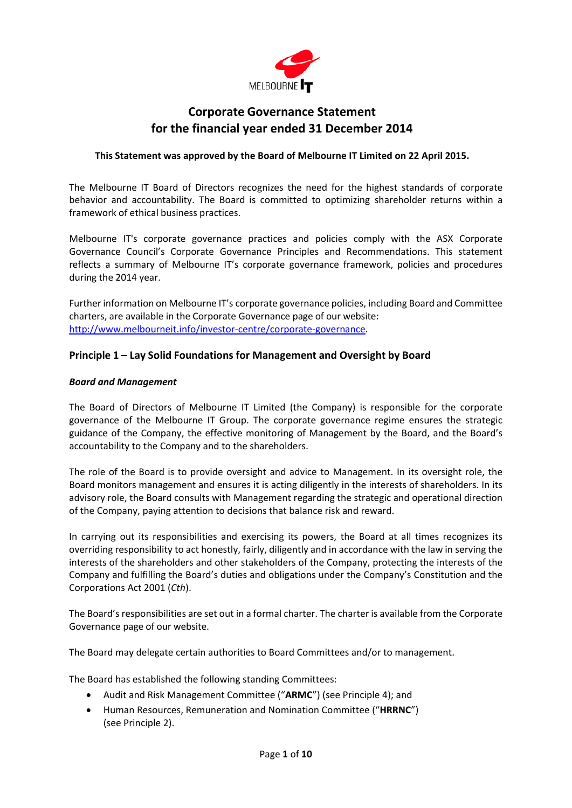

## **Corporate Governance Statement for the financial year ended 31 December 2014**

## **This Statement was approved by the Board of Melbourne IT Limited on 22 April 2015.**

The Melbourne IT Board of Directors recognizes the need for the highest standards of corporate behavior and accountability. The Board is committed to optimizing shareholder returns within a framework of ethical business practices.

Melbourne IT's corporate governance practices and policies comply with the ASX Corporate Governance Council's Corporate Governance Principles and Recommendations. This statement reflects a summary of Melbourne IT's corporate governance framework, policies and procedures during the 2014 year.

Further information on Melbourne IT's corporate governance policies, including Board and Committee charters, are available in the Corporate Governance page of our website: [http://www.melbourneit.info/investor-centre/corporate-governance.](http://www.melbourneit.info/investor-centre/corporate-governance)

## **Principle 1 – Lay Solid Foundations for Management and Oversight by Board**

### *Board and Management*

The Board of Directors of Melbourne IT Limited (the Company) is responsible for the corporate governance of the Melbourne IT Group. The corporate governance regime ensures the strategic guidance of the Company, the effective monitoring of Management by the Board, and the Board's accountability to the Company and to the shareholders.

The role of the Board is to provide oversight and advice to Management. In its oversight role, the Board monitors management and ensures it is acting diligently in the interests of shareholders. In its advisory role, the Board consults with Management regarding the strategic and operational direction of the Company, paying attention to decisions that balance risk and reward.

In carrying out its responsibilities and exercising its powers, the Board at all times recognizes its overriding responsibility to act honestly, fairly, diligently and in accordance with the law in serving the interests of the shareholders and other stakeholders of the Company, protecting the interests of the Company and fulfilling the Board's duties and obligations under the Company's Constitution and the Corporations Act 2001 (*Cth*).

The Board's responsibilities are set out in a formal charter. The charter is available from the Corporate Governance page of our website.

The Board may delegate certain authorities to Board Committees and/or to management.

The Board has established the following standing Committees:

- Audit and Risk Management Committee ("**ARMC**") (see Principle 4); and
- Human Resources, Remuneration and Nomination Committee ("**HRRNC**") (see Principle 2).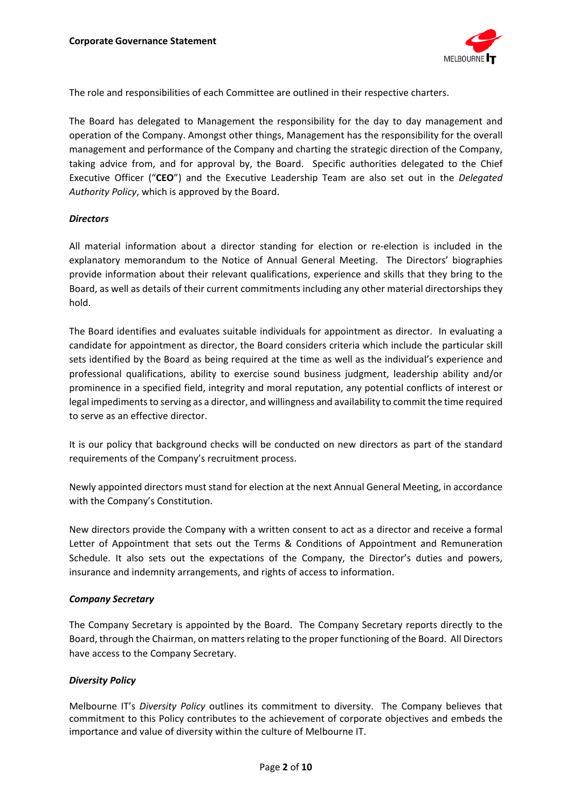

The role and responsibilities of each Committee are outlined in their respective charters.

The Board has delegated to Management the responsibility for the day to day management and operation of the Company. Amongst other things, Management has the responsibility for the overall management and performance of the Company and charting the strategic direction of the Company, taking advice from, and for approval by, the Board. Specific authorities delegated to the Chief Executive Officer ("**CEO**") and the Executive Leadership Team are also set out in the *Delegated Authority Policy*, which is approved by the Board.

## *Directors*

All material information about a director standing for election or re-election is included in the explanatory memorandum to the Notice of Annual General Meeting. The Directors' biographies provide information about their relevant qualifications, experience and skills that they bring to the Board, as well as details of their current commitments including any other material directorships they hold.

The Board identifies and evaluates suitable individuals for appointment as director. In evaluating a candidate for appointment as director, the Board considers criteria which include the particular skill sets identified by the Board as being required at the time as well as the individual's experience and professional qualifications, ability to exercise sound business judgment, leadership ability and/or prominence in a specified field, integrity and moral reputation, any potential conflicts of interest or legal impediments to serving as a director, and willingness and availability to commit the time required to serve as an effective director.

It is our policy that background checks will be conducted on new directors as part of the standard requirements of the Company's recruitment process.

Newly appointed directors must stand for election at the next Annual General Meeting, in accordance with the Company's Constitution.

New directors provide the Company with a written consent to act as a director and receive a formal Letter of Appointment that sets out the Terms & Conditions of Appointment and Remuneration Schedule. It also sets out the expectations of the Company, the Director's duties and powers, insurance and indemnity arrangements, and rights of access to information.

### *Company Secretary*

The Company Secretary is appointed by the Board. The Company Secretary reports directly to the Board, through the Chairman, on matters relating to the proper functioning of the Board. All Directors have access to the Company Secretary.

## *Diversity Policy*

Melbourne IT's *Diversity Policy* outlines its commitment to diversity. The Company believes that commitment to this Policy contributes to the achievement of corporate objectives and embeds the importance and value of diversity within the culture of Melbourne IT.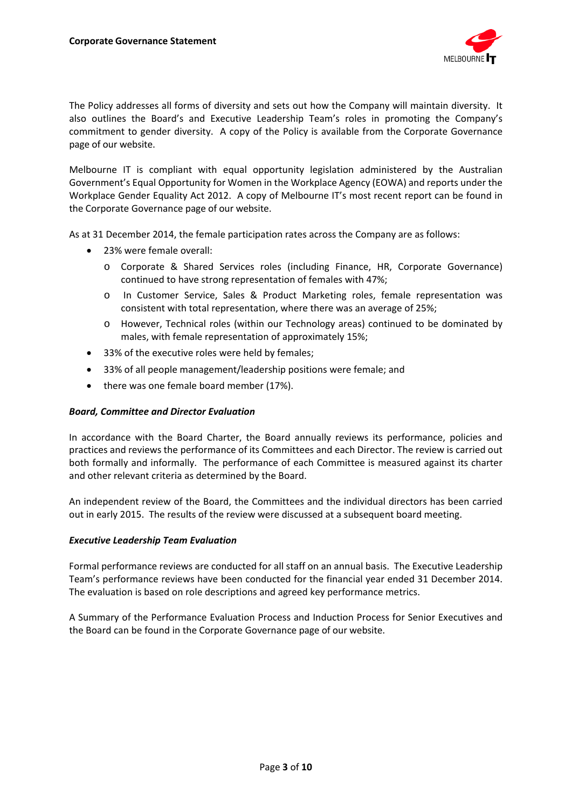

The Policy addresses all forms of diversity and sets out how the Company will maintain diversity. It also outlines the Board's and Executive Leadership Team's roles in promoting the Company's commitment to gender diversity. A copy of the Policy is available from the Corporate Governance page of our website.

Melbourne IT is compliant with equal opportunity legislation administered by the Australian Government's Equal Opportunity for Women in the Workplace Agency (EOWA) and reports under the Workplace Gender Equality Act 2012. A copy of Melbourne IT's most recent report can be found in the Corporate Governance page of our website.

As at 31 December 2014, the female participation rates across the Company are as follows:

- 23% were female overall:
	- o Corporate & Shared Services roles (including Finance, HR, Corporate Governance) continued to have strong representation of females with 47%;
	- o In Customer Service, Sales & Product Marketing roles, female representation was consistent with total representation, where there was an average of 25%;
	- o However, Technical roles (within our Technology areas) continued to be dominated by males, with female representation of approximately 15%;
- 33% of the executive roles were held by females:
- 33% of all people management/leadership positions were female; and
- there was one female board member (17%).

### *Board, Committee and Director Evaluation*

In accordance with the Board Charter, the Board annually reviews its performance, policies and practices and reviews the performance of its Committees and each Director. The review is carried out both formally and informally. The performance of each Committee is measured against its charter and other relevant criteria as determined by the Board.

An independent review of the Board, the Committees and the individual directors has been carried out in early 2015. The results of the review were discussed at a subsequent board meeting.

### *Executive Leadership Team Evaluation*

Formal performance reviews are conducted for all staff on an annual basis. The Executive Leadership Team's performance reviews have been conducted for the financial year ended 31 December 2014. The evaluation is based on role descriptions and agreed key performance metrics.

A Summary of the Performance Evaluation Process and Induction Process for Senior Executives and the Board can be found in the Corporate Governance page of our website.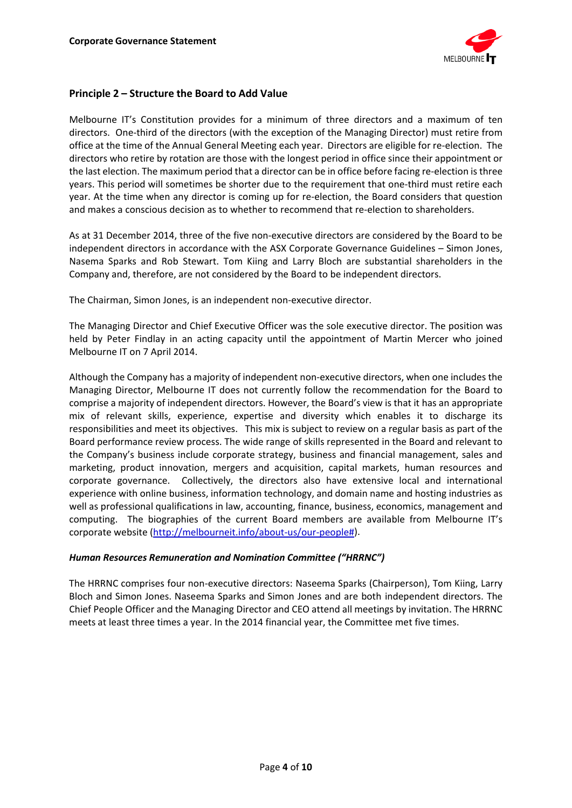

## **Principle 2 – Structure the Board to Add Value**

Melbourne IT's Constitution provides for a minimum of three directors and a maximum of ten directors. One-third of the directors (with the exception of the Managing Director) must retire from office at the time of the Annual General Meeting each year. Directors are eligible for re-election. The directors who retire by rotation are those with the longest period in office since their appointment or the last election. The maximum period that a director can be in office before facing re-election is three years. This period will sometimes be shorter due to the requirement that one-third must retire each year. At the time when any director is coming up for re-election, the Board considers that question and makes a conscious decision as to whether to recommend that re-election to shareholders.

As at 31 December 2014, three of the five non-executive directors are considered by the Board to be independent directors in accordance with the ASX Corporate Governance Guidelines – Simon Jones, Nasema Sparks and Rob Stewart. Tom Kiing and Larry Bloch are substantial shareholders in the Company and, therefore, are not considered by the Board to be independent directors.

The Chairman, Simon Jones, is an independent non-executive director.

The Managing Director and Chief Executive Officer was the sole executive director. The position was held by Peter Findlay in an acting capacity until the appointment of Martin Mercer who joined Melbourne IT on 7 April 2014.

Although the Company has a majority of independent non-executive directors, when one includes the Managing Director, Melbourne IT does not currently follow the recommendation for the Board to comprise a majority of independent directors. However, the Board's view is that it has an appropriate mix of relevant skills, experience, expertise and diversity which enables it to discharge its responsibilities and meet its objectives. This mix is subject to review on a regular basis as part of the Board performance review process. The wide range of skills represented in the Board and relevant to the Company's business include corporate strategy, business and financial management, sales and marketing, product innovation, mergers and acquisition, capital markets, human resources and corporate governance. Collectively, the directors also have extensive local and international experience with online business, information technology, and domain name and hosting industries as well as professional qualifications in law, accounting, finance, business, economics, management and computing. The biographies of the current Board members are available from Melbourne IT's corporate website [\(http://melbourneit.info/about-us/our-people#\)](http://melbourneit.info/about-us/our-people).

### *Human Resources Remuneration and Nomination Committee ("HRRNC")*

The HRRNC comprises four non-executive directors: Naseema Sparks (Chairperson), Tom Kiing, Larry Bloch and Simon Jones. Naseema Sparks and Simon Jones and are both independent directors. The Chief People Officer and the Managing Director and CEO attend all meetings by invitation. The HRRNC meets at least three times a year. In the 2014 financial year, the Committee met five times.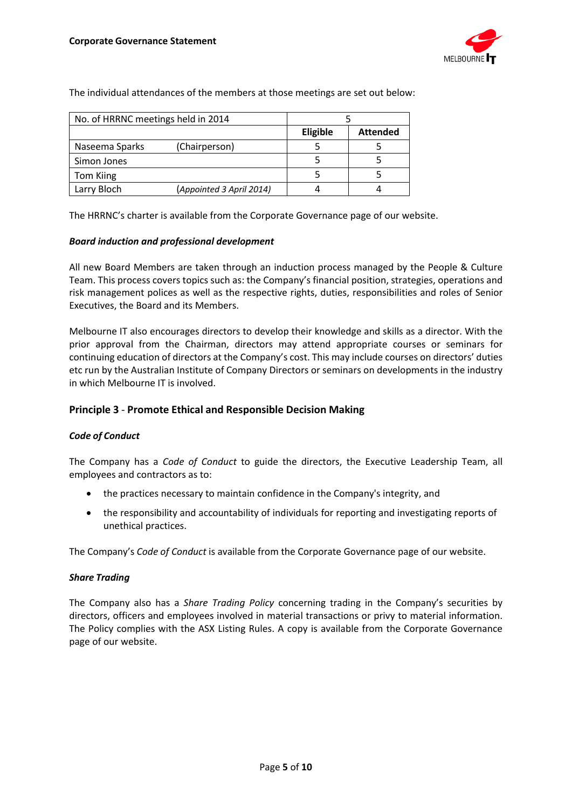

The individual attendances of the members at those meetings are set out below:

| No. of HRRNC meetings held in 2014 |                          |          |                 |
|------------------------------------|--------------------------|----------|-----------------|
|                                    |                          | Eligible | <b>Attended</b> |
| Naseema Sparks                     | (Chairperson)            |          |                 |
| Simon Jones                        |                          |          |                 |
| Tom Kiing                          |                          |          |                 |
| Larry Bloch                        | (Appointed 3 April 2014) |          |                 |

The HRRNC's charter is available from the Corporate Governance page of our website.

### *Board induction and professional development*

All new Board Members are taken through an induction process managed by the People & Culture Team. This process covers topics such as: the Company's financial position, strategies, operations and risk management polices as well as the respective rights, duties, responsibilities and roles of Senior Executives, the Board and its Members.

Melbourne IT also encourages directors to develop their knowledge and skills as a director. With the prior approval from the Chairman, directors may attend appropriate courses or seminars for continuing education of directors at the Company's cost. This may include courses on directors' duties etc run by the Australian Institute of Company Directors or seminars on developments in the industry in which Melbourne IT is involved.

## **Principle 3** - **Promote Ethical and Responsible Decision Making**

### *Code of Conduct*

The Company has a *Code of Conduct* to guide the directors, the Executive Leadership Team, all employees and contractors as to:

- the practices necessary to maintain confidence in the Company's integrity, and
- the responsibility and accountability of individuals for reporting and investigating reports of unethical practices.

The Company's *Code of Conduct* is available from the Corporate Governance page of our website.

### *Share Trading*

The Company also has a *Share Trading Policy* concerning trading in the Company's securities by directors, officers and employees involved in material transactions or privy to material information. The Policy complies with the ASX Listing Rules. A copy is available from the Corporate Governance page of our website.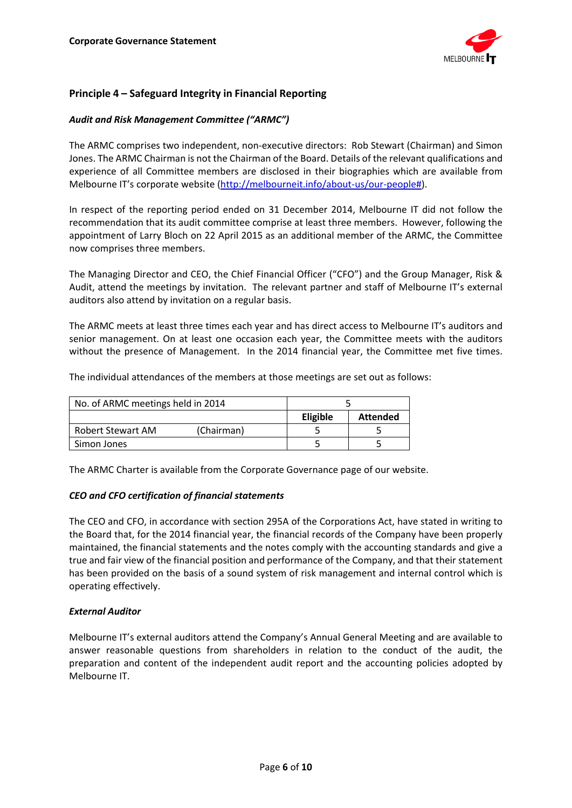

## **Principle 4 – Safeguard Integrity in Financial Reporting**

## *Audit and Risk Management Committee ("ARMC")*

The ARMC comprises two independent, non-executive directors: Rob Stewart (Chairman) and Simon Jones. The ARMC Chairman is not the Chairman of the Board. Details of the relevant qualifications and experience of all Committee members are disclosed in their biographies which are available from Melbourne IT's corporate website [\(http://melbourneit.info/about-us/our-people#\)](http://melbourneit.info/about-us/our-people).

In respect of the reporting period ended on 31 December 2014, Melbourne IT did not follow the recommendation that its audit committee comprise at least three members. However, following the appointment of Larry Bloch on 22 April 2015 as an additional member of the ARMC, the Committee now comprises three members.

The Managing Director and CEO, the Chief Financial Officer ("CFO") and the Group Manager, Risk & Audit, attend the meetings by invitation. The relevant partner and staff of Melbourne IT's external auditors also attend by invitation on a regular basis.

The ARMC meets at least three times each year and has direct access to Melbourne IT's auditors and senior management. On at least one occasion each year, the Committee meets with the auditors without the presence of Management. In the 2014 financial year, the Committee met five times.

The individual attendances of the members at those meetings are set out as follows:

| No. of ARMC meetings held in 2014 |                 |                 |
|-----------------------------------|-----------------|-----------------|
|                                   | <b>Eligible</b> | <b>Attended</b> |
| (Chairman)<br>Robert Stewart AM   |                 |                 |
| Simon Jones                       |                 |                 |

The ARMC Charter is available from the Corporate Governance page of our website.

### *CEO and CFO certification of financial statements*

The CEO and CFO, in accordance with section 295A of the Corporations Act, have stated in writing to the Board that, for the 2014 financial year, the [financial records](http://www5.austlii.edu.au/au/legis/cth/consol_act/ca2001172/s9.html%23financial_records) of the [Company](http://www5.austlii.edu.au/au/legis/cth/consol_act/ca2001172/s9.html%23company) [have](http://www5.austlii.edu.au/au/legis/cth/consol_act/ca2001172/s9.html%23have) been properly maintained, the [financial statements](http://www5.austlii.edu.au/au/legis/cth/consol_act/ca2001172/s9.html%23financial_statements) and the notes comply with the [accounting standards](http://www5.austlii.edu.au/au/legis/cth/consol_act/ca2001172/s9.html%23accounting_standard) and give a true and fair view of the financial position and performance of the Company, and that their statement has been provided on the basis of a sound system of risk management and internal control which is operating effectively.

### *External Auditor*

Melbourne IT's external auditors attend the Company's Annual General Meeting and are available to answer reasonable questions from shareholders in relation to the conduct of the audit, the preparation and content of the independent audit report and the accounting policies adopted by Melbourne IT.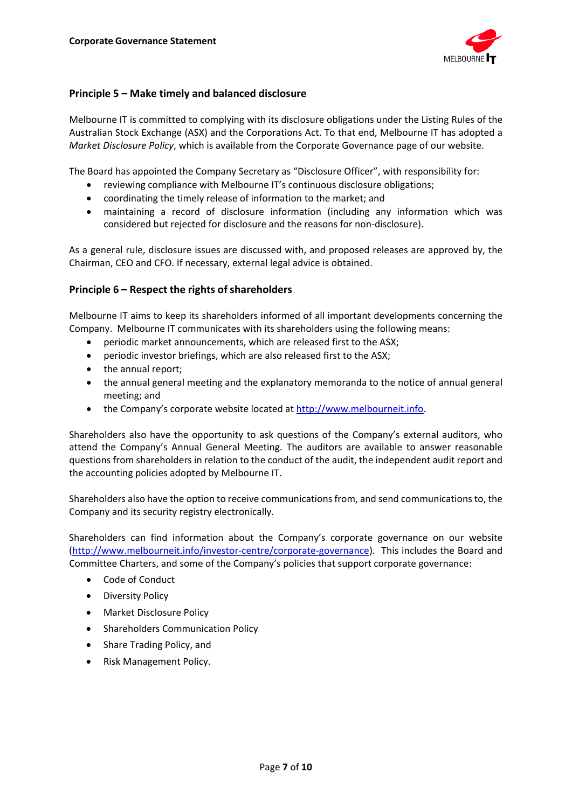

## **Principle 5 – Make timely and balanced disclosure**

Melbourne IT is committed to complying with its disclosure obligations under the Listing Rules of the Australian Stock Exchange (ASX) and the Corporations Act. To that end, Melbourne IT has adopted a *Market Disclosure Policy*, which is available from the Corporate Governance page of our website.

The Board has appointed the Company Secretary as "Disclosure Officer", with responsibility for:

- reviewing compliance with Melbourne IT's continuous disclosure obligations;
- coordinating the timely release of information to the market; and
- maintaining a record of disclosure information (including any information which was considered but rejected for disclosure and the reasons for non-disclosure).

As a general rule, disclosure issues are discussed with, and proposed releases are approved by, the Chairman, CEO and CFO. If necessary, external legal advice is obtained.

## **Principle 6 – Respect the rights of shareholders**

Melbourne IT aims to keep its shareholders informed of all important developments concerning the Company. Melbourne IT communicates with its shareholders using the following means:

- periodic market announcements, which are released first to the ASX;
- periodic investor briefings, which are also released first to the ASX;
- the annual report;
- the annual general meeting and the explanatory memoranda to the notice of annual general meeting; and
- the Company's corporate website located a[t http://www.melbourneit.info.](http://www.melbourneit.info/)

Shareholders also have the opportunity to ask questions of the Company's external auditors, who attend the Company's Annual General Meeting. The auditors are available to answer reasonable questions from shareholders in relation to the conduct of the audit, the independent audit report and the accounting policies adopted by Melbourne IT.

Shareholders also have the option to receive communications from, and send communications to, the Company and its security registry electronically.

Shareholders can find information about the Company's corporate governance on our website [\(http://www.melbourneit.info/investor-centre/corporate-governance\)](http://www.melbourneit.info/investor-centre/corporate-governance). This includes the Board and Committee Charters, and some of the Company's policies that support corporate governance:

- Code of Conduct
- Diversity Policy
- Market Disclosure Policy
- Shareholders Communication Policy
- Share Trading Policy, and
- Risk Management Policy.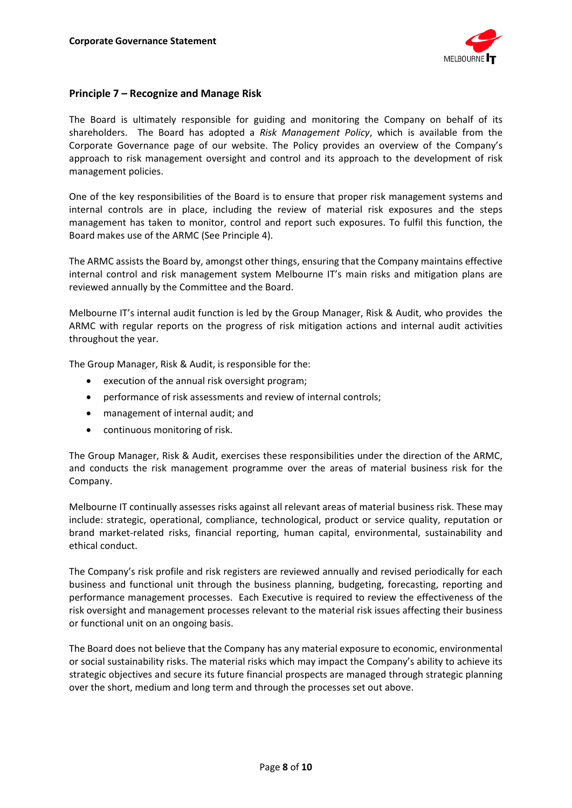

## **Principle 7 – Recognize and Manage Risk**

The Board is ultimately responsible for guiding and monitoring the Company on behalf of its shareholders. The Board has adopted a *Risk Management Policy*, which is available from the Corporate Governance page of our website. The Policy provides an overview of the Company's approach to risk management oversight and control and its approach to the development of risk management policies.

One of the key responsibilities of the Board is to ensure that proper risk management systems and internal controls are in place, including the review of material risk exposures and the steps management has taken to monitor, control and report such exposures. To fulfil this function, the Board makes use of the ARMC (See Principle 4).

The ARMC assists the Board by, amongst other things, ensuring that the Company maintains effective internal control and risk management system Melbourne IT's main risks and mitigation plans are reviewed annually by the Committee and the Board.

Melbourne IT's internal audit function is led by the Group Manager, Risk & Audit, who provides the ARMC with regular reports on the progress of risk mitigation actions and internal audit activities throughout the year.

The Group Manager, Risk & Audit, is responsible for the:

- execution of the annual risk oversight program;
- performance of risk assessments and review of internal controls;
- management of internal audit; and
- continuous monitoring of risk.

The Group Manager, Risk & Audit, exercises these responsibilities under the direction of the ARMC, and conducts the risk management programme over the areas of material business risk for the Company.

Melbourne IT continually assesses risks against all relevant areas of material business risk. These may include: strategic, operational, compliance, technological, product or service quality, reputation or brand market-related risks, financial reporting, human capital, environmental, sustainability and ethical conduct.

The Company's risk profile and risk registers are reviewed annually and revised periodically for each business and functional unit through the business planning, budgeting, forecasting, reporting and performance management processes. Each Executive is required to review the effectiveness of the risk oversight and management processes relevant to the material risk issues affecting their business or functional unit on an ongoing basis.

The Board does not believe that the Company has any material exposure to economic, environmental or social sustainability risks. The material risks which may impact the Company's ability to achieve its strategic objectives and secure its future financial prospects are managed through strategic planning over the short, medium and long term and through the processes set out above.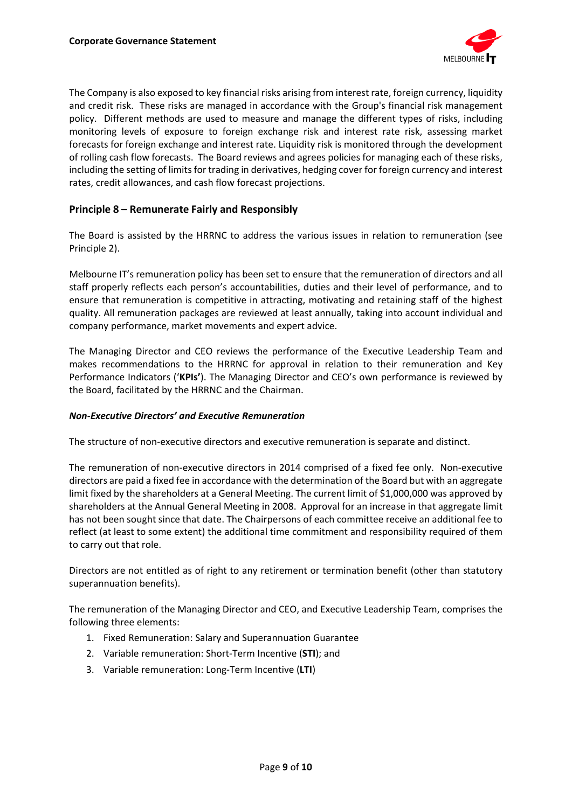

The Company is also exposed to key financial risks arising from interest rate, foreign currency, liquidity and credit risk. These risks are managed in accordance with the Group's financial risk management policy. Different methods are used to measure and manage the different types of risks, including monitoring levels of exposure to foreign exchange risk and interest rate risk, assessing market forecasts for foreign exchange and interest rate. Liquidity risk is monitored through the development of rolling cash flow forecasts. The Board reviews and agrees policies for managing each of these risks, including the setting of limits for trading in derivatives, hedging cover for foreign currency and interest rates, credit allowances, and cash flow forecast projections.

## **Principle 8 – Remunerate Fairly and Responsibly**

The Board is assisted by the HRRNC to address the various issues in relation to remuneration (see Principle 2).

Melbourne IT's remuneration policy has been set to ensure that the remuneration of directors and all staff properly reflects each person's accountabilities, duties and their level of performance, and to ensure that remuneration is competitive in attracting, motivating and retaining staff of the highest quality. All remuneration packages are reviewed at least annually, taking into account individual and company performance, market movements and expert advice.

The Managing Director and CEO reviews the performance of the Executive Leadership Team and makes recommendations to the HRRNC for approval in relation to their remuneration and Key Performance Indicators ('**KPIs'**). The Managing Director and CEO's own performance is reviewed by the Board, facilitated by the HRRNC and the Chairman.

### *Non-Executive Directors' and Executive Remuneration*

The structure of non-executive directors and executive remuneration is separate and distinct.

The remuneration of non-executive directors in 2014 comprised of a fixed fee only. Non-executive directors are paid a fixed fee in accordance with the determination of the Board but with an aggregate limit fixed by the shareholders at a General Meeting. The current limit of \$1,000,000 was approved by shareholders at the Annual General Meeting in 2008. Approval for an increase in that aggregate limit has not been sought since that date. The Chairpersons of each committee receive an additional fee to reflect (at least to some extent) the additional time commitment and responsibility required of them to carry out that role.

Directors are not entitled as of right to any retirement or termination benefit (other than statutory superannuation benefits).

The remuneration of the Managing Director and CEO, and Executive Leadership Team, comprises the following three elements:

- 1. Fixed Remuneration: Salary and Superannuation Guarantee
- 2. Variable remuneration: Short-Term Incentive (**STI**); and
- 3. Variable remuneration: Long-Term Incentive (**LTI**)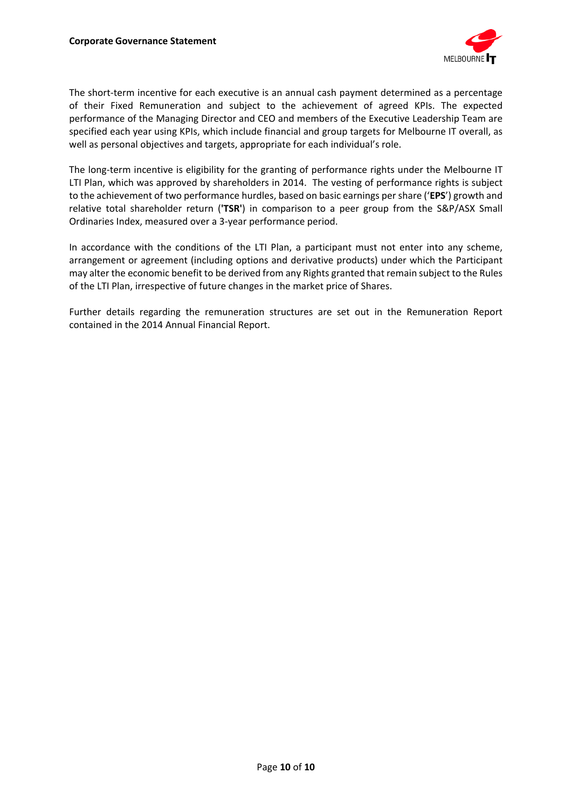

The short-term incentive for each executive is an annual cash payment determined as a percentage of their Fixed Remuneration and subject to the achievement of agreed KPIs. The expected performance of the Managing Director and CEO and members of the Executive Leadership Team are specified each year using KPIs, which include financial and group targets for Melbourne IT overall, as well as personal objectives and targets, appropriate for each individual's role.

The long-term incentive is eligibility for the granting of performance rights under the Melbourne IT LTI Plan, which was approved by shareholders in 2014. The vesting of performance rights is subject to the achievement of two performance hurdles, based on basic earnings per share ('**EPS**') growth and relative total shareholder return (**'TSR'**) in comparison to a peer group from the S&P/ASX Small Ordinaries Index, measured over a 3-year performance period.

In accordance with the conditions of the LTI Plan, a participant must not enter into any scheme, arrangement or agreement (including options and derivative products) under which the Participant may alter the economic benefit to be derived from any Rights granted that remain subject to the Rules of the LTI Plan, irrespective of future changes in the market price of Shares.

Further details regarding the remuneration structures are set out in the Remuneration Report contained in the 2014 Annual Financial Report.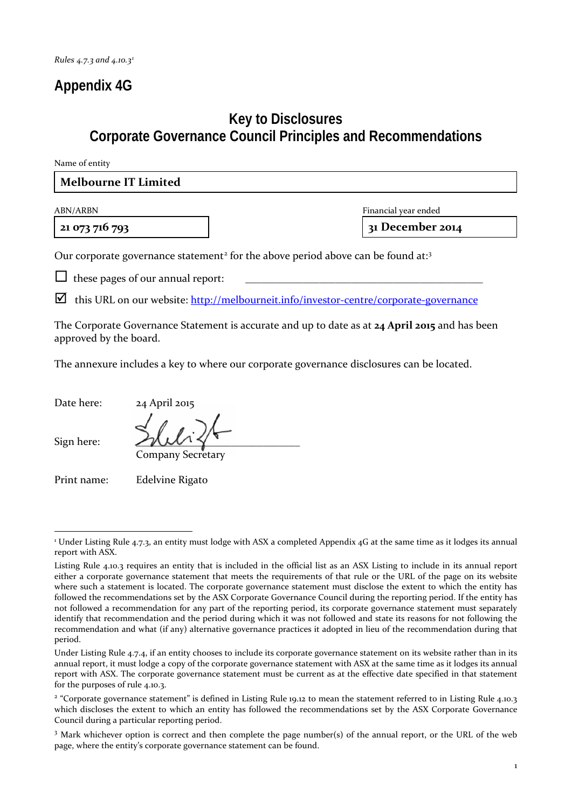# **Appendix 4G**

# **Key to Disclosures Corporate Governance Council Principles and Recommendations**

Name of entity

## **Melbourne IT Limited**

**21 073 716 793 31 December 2014**

ABN/ARBN Financial year ended

Our corporate governance statement<sup>[2](#page-10-1)</sup> for the above period above can be found at:<sup>[3](#page-10-2)</sup>

 $\Box$  these pages of our annual report:

 $\Box$  this URL on our website:  $\frac{http://melbourneit.info/investor-centre/corporate-governance}{}$  $\frac{http://melbourneit.info/investor-centre/corporate-governance}{}$  $\frac{http://melbourneit.info/investor-centre/corporate-governance}{}$ 

The Corporate Governance Statement is accurate and up to date as at **24 April 2015** and has been approved by the board.

The annexure includes a key to where our corporate governance disclosures can be located.

Date here: 24 April 2015

Company Secretary

Sign here:

Print name: Edelvine Rigato

<span id="page-10-0"></span><sup>1</sup> Under Listing Rule 4.7.3, an entity must lodge with ASX a completed Appendix 4G at the same time as it lodges its annual report with ASX. 1

Listing Rule 4.10.3 requires an entity that is included in the official list as an ASX Listing to include in its annual report either a corporate governance statement that meets the requirements of that rule or the URL of the page on its website where such a statement is located. The corporate governance statement must disclose the extent to which the entity has followed the recommendations set by the ASX Corporate Governance Council during the reporting period. If the entity has not followed a recommendation for any part of the reporting period, its corporate governance statement must separately identify that recommendation and the period during which it was not followed and state its reasons for not following the recommendation and what (if any) alternative governance practices it adopted in lieu of the recommendation during that period.

Under Listing Rule 4.7.4, if an entity chooses to include its corporate governance statement on its website rather than in its annual report, it must lodge a copy of the corporate governance statement with ASX at the same time as it lodges its annual report with ASX. The corporate governance statement must be current as at the effective date specified in that statement for the purposes of rule 4.10.3.

<span id="page-10-1"></span><sup>&</sup>lt;sup>2</sup> "Corporate governance statement" is defined in Listing Rule 19.12 to mean the statement referred to in Listing Rule 4.10.3 which discloses the extent to which an entity has followed the recommendations set by the ASX Corporate Governance Council during a particular reporting period.

<span id="page-10-2"></span><sup>3</sup> Mark whichever option is correct and then complete the page number(s) of the annual report, or the URL of the web page, where the entity's corporate governance statement can be found.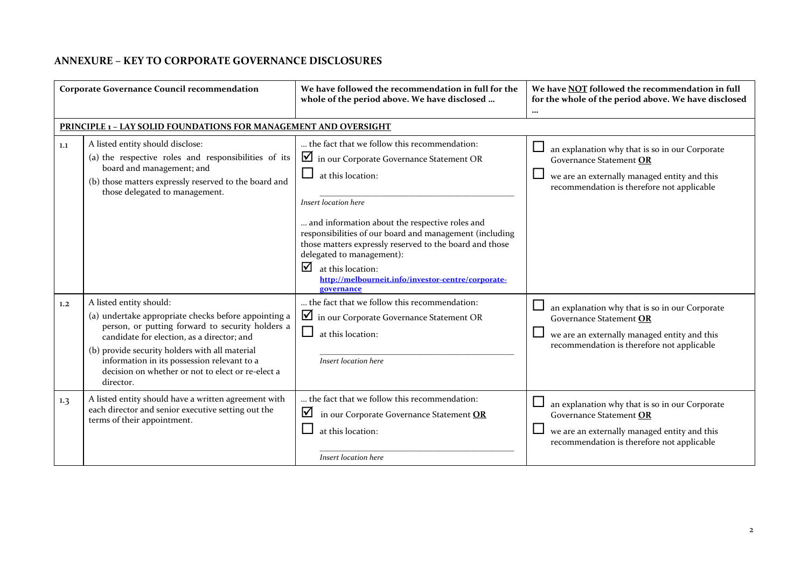## **ANNEXURE – KEY TO CORPORATE GOVERNANCE DISCLOSURES**

| <b>Corporate Governance Council recommendation</b> |                                                                                                                                                                                                                                                                                                                                                                                                              | We have followed the recommendation in full for the<br>whole of the period above. We have disclosed                                                                                                                                                                                                                                                                                                                                      | We have NOT followed the recommendation in full<br>for the whole of the period above. We have disclosed<br>$\cdots$                                                     |
|----------------------------------------------------|--------------------------------------------------------------------------------------------------------------------------------------------------------------------------------------------------------------------------------------------------------------------------------------------------------------------------------------------------------------------------------------------------------------|------------------------------------------------------------------------------------------------------------------------------------------------------------------------------------------------------------------------------------------------------------------------------------------------------------------------------------------------------------------------------------------------------------------------------------------|-------------------------------------------------------------------------------------------------------------------------------------------------------------------------|
|                                                    | PRINCIPLE 1 - LAY SOLID FOUNDATIONS FOR MANAGEMENT AND OVERSIGHT                                                                                                                                                                                                                                                                                                                                             |                                                                                                                                                                                                                                                                                                                                                                                                                                          |                                                                                                                                                                         |
| 1.1                                                | A listed entity should disclose:<br>(a) the respective roles and responsibilities of its<br>board and management; and<br>(b) those matters expressly reserved to the board and<br>those delegated to management.                                                                                                                                                                                             | the fact that we follow this recommendation:<br>in our Corporate Governance Statement OR<br>at this location:<br>Insert location here<br>and information about the respective roles and<br>responsibilities of our board and management (including<br>those matters expressly reserved to the board and those<br>delegated to management):<br>☑<br>at this location:<br>http://melbourneit.info/investor-centre/corporate-<br>governance | an explanation why that is so in our Corporate<br>Governance Statement OR<br>we are an externally managed entity and this<br>recommendation is therefore not applicable |
| 1.2<br>1.3                                         | A listed entity should:<br>(a) undertake appropriate checks before appointing a<br>person, or putting forward to security holders a<br>candidate for election, as a director; and<br>(b) provide security holders with all material<br>information in its possession relevant to a<br>decision on whether or not to elect or re-elect a<br>director.<br>A listed entity should have a written agreement with | the fact that we follow this recommendation:<br>in our Corporate Governance Statement OR<br>ப<br>at this location:<br>Insert location here<br>the fact that we follow this recommendation:                                                                                                                                                                                                                                               | an explanation why that is so in our Corporate<br>Governance Statement OR<br>we are an externally managed entity and this<br>recommendation is therefore not applicable |
|                                                    | each director and senior executive setting out the<br>terms of their appointment.                                                                                                                                                                                                                                                                                                                            | ☑<br>in our Corporate Governance Statement OR<br>at this location:<br>Insert location here                                                                                                                                                                                                                                                                                                                                               | an explanation why that is so in our Corporate<br>Governance Statement OR<br>we are an externally managed entity and this<br>recommendation is therefore not applicable |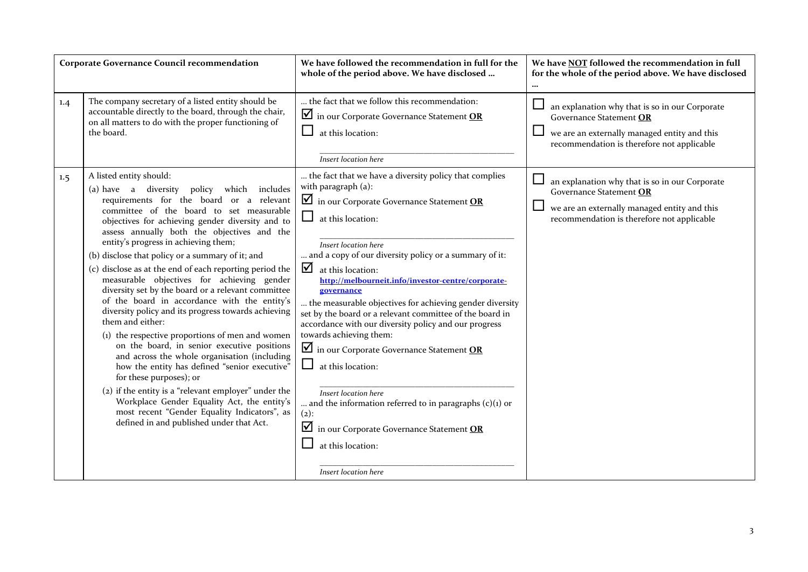|     | Corporate Governance Council recommendation                                                                                                                                                                                                                                                                                                                                                                                                                                                                                                                                                                                                                                                                                                                                                                                                                                                                                                                                                                                                                                             | We have followed the recommendation in full for the<br>whole of the period above. We have disclosed                                                                                                                                                                                                                                                                                                                                                                                                                                                                                                                                                                                                                                                                                                                      | We have NOT followed the recommendation in full<br>for the whole of the period above. We have disclosed<br>                                                             |
|-----|-----------------------------------------------------------------------------------------------------------------------------------------------------------------------------------------------------------------------------------------------------------------------------------------------------------------------------------------------------------------------------------------------------------------------------------------------------------------------------------------------------------------------------------------------------------------------------------------------------------------------------------------------------------------------------------------------------------------------------------------------------------------------------------------------------------------------------------------------------------------------------------------------------------------------------------------------------------------------------------------------------------------------------------------------------------------------------------------|--------------------------------------------------------------------------------------------------------------------------------------------------------------------------------------------------------------------------------------------------------------------------------------------------------------------------------------------------------------------------------------------------------------------------------------------------------------------------------------------------------------------------------------------------------------------------------------------------------------------------------------------------------------------------------------------------------------------------------------------------------------------------------------------------------------------------|-------------------------------------------------------------------------------------------------------------------------------------------------------------------------|
| 1.4 | The company secretary of a listed entity should be<br>accountable directly to the board, through the chair,<br>on all matters to do with the proper functioning of<br>the board.                                                                                                                                                                                                                                                                                                                                                                                                                                                                                                                                                                                                                                                                                                                                                                                                                                                                                                        | the fact that we follow this recommendation:<br>in our Corporate Governance Statement OR<br>at this location:<br>Insert location here                                                                                                                                                                                                                                                                                                                                                                                                                                                                                                                                                                                                                                                                                    | an explanation why that is so in our Corporate<br>Governance Statement OR<br>we are an externally managed entity and this<br>recommendation is therefore not applicable |
| 1.5 | A listed entity should:<br>(a) have a diversity policy which includes<br>requirements for the board or a relevant<br>committee of the board to set measurable<br>objectives for achieving gender diversity and to<br>assess annually both the objectives and the<br>entity's progress in achieving them;<br>(b) disclose that policy or a summary of it; and<br>(c) disclose as at the end of each reporting period the<br>measurable objectives for achieving gender<br>diversity set by the board or a relevant committee<br>of the board in accordance with the entity's<br>diversity policy and its progress towards achieving<br>them and either:<br>(1) the respective proportions of men and women<br>on the board, in senior executive positions<br>and across the whole organisation (including<br>how the entity has defined "senior executive"<br>for these purposes); or<br>(2) if the entity is a "relevant employer" under the<br>Workplace Gender Equality Act, the entity's<br>most recent "Gender Equality Indicators", as<br>defined in and published under that Act. | the fact that we have a diversity policy that complies<br>with paragraph (a):<br>$\blacksquare$ in our Corporate Governance Statement OR<br>at this location:<br>Insert location here<br>and a copy of our diversity policy or a summary of it:<br>☑<br>at this location:<br>http://melbourneit.info/investor-centre/corporate-<br>governance<br>the measurable objectives for achieving gender diversity<br>set by the board or a relevant committee of the board in<br>accordance with our diversity policy and our progress<br>towards achieving them:<br>in our Corporate Governance Statement OR<br>at this location:<br>Insert location here<br>and the information referred to in paragraphs $(c)(1)$ or<br>$(2)$ :<br>⊻<br>in our Corporate Governance Statement OR<br>at this location:<br>Insert location here | an explanation why that is so in our Corporate<br>Governance Statement OR<br>we are an externally managed entity and this<br>recommendation is therefore not applicable |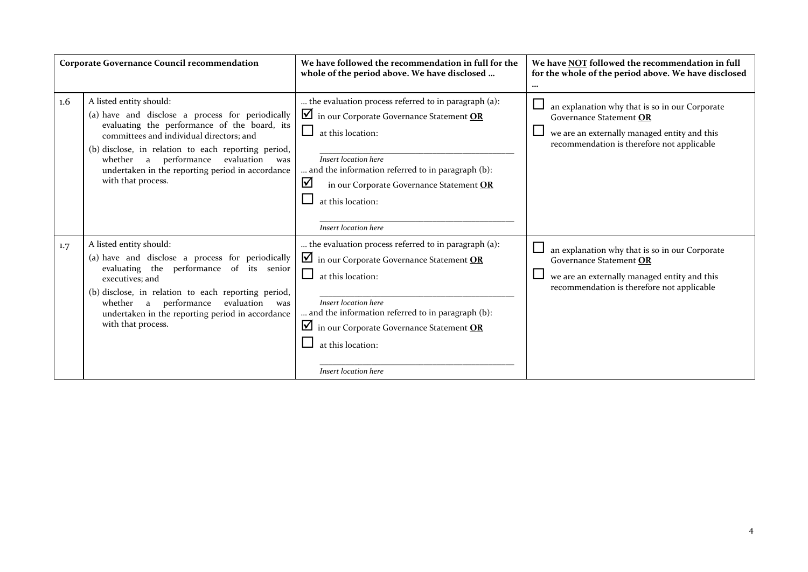|     | <b>Corporate Governance Council recommendation</b>                                                                                                                                                                                                                                                                                                        | We have followed the recommendation in full for the<br>whole of the period above. We have disclosed                                                                                                                                                                                                                                | We have NOT followed the recommendation in full<br>for the whole of the period above. We have disclosed<br>$\cdots$                                                     |
|-----|-----------------------------------------------------------------------------------------------------------------------------------------------------------------------------------------------------------------------------------------------------------------------------------------------------------------------------------------------------------|------------------------------------------------------------------------------------------------------------------------------------------------------------------------------------------------------------------------------------------------------------------------------------------------------------------------------------|-------------------------------------------------------------------------------------------------------------------------------------------------------------------------|
| 1.6 | A listed entity should:<br>(a) have and disclose a process for periodically<br>evaluating the performance of the board, its<br>committees and individual directors; and<br>(b) disclose, in relation to each reporting period,<br>performance<br>evaluation<br>whether a<br>was<br>undertaken in the reporting period in accordance<br>with that process. | the evaluation process referred to in paragraph (a):<br>$\blacksquare$ in our Corporate Governance Statement OR<br>at this location:<br>Insert location here<br>and the information referred to in paragraph (b):<br>$\blacktriangledown$<br>in our Corporate Governance Statement OR<br>at this location:<br>Insert location here | an explanation why that is so in our Corporate<br>Governance Statement OR<br>we are an externally managed entity and this<br>recommendation is therefore not applicable |
| 1.7 | A listed entity should:<br>(a) have and disclose a process for periodically<br>evaluating the performance of its senior<br>executives; and<br>(b) disclose, in relation to each reporting period,<br>performance<br>evaluation<br>whether a<br>was<br>undertaken in the reporting period in accordance<br>with that process.                              | the evaluation process referred to in paragraph (a):<br>$\blacksquare$ in our Corporate Governance Statement OR<br>at this location:<br>Insert location here<br>and the information referred to in paragraph (b):<br>$\blacksquare$ in our Corporate Governance Statement OR<br>at this location:<br>Insert location here          | an explanation why that is so in our Corporate<br>Governance Statement OR<br>we are an externally managed entity and this<br>recommendation is therefore not applicable |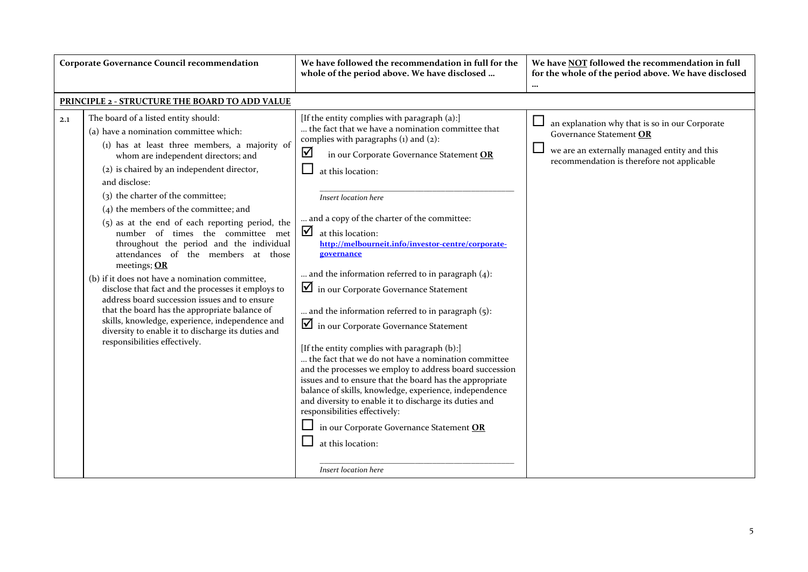| <b>Corporate Governance Council recommendation</b> |                                                                                                                                                                                                                                                                                                                                                                                                                                                                                                                                                                                                                                                                                                                                                                                                                                                                         | We have followed the recommendation in full for the<br>whole of the period above. We have disclosed                                                                                                                                                                                                                                                                                                                                                                                                                                                                                                                                                                                                                                                                                                                                                                                                                                                                                                                                                                  | We have NOT followed the recommendation in full<br>for the whole of the period above. We have disclosed<br>                                                             |
|----------------------------------------------------|-------------------------------------------------------------------------------------------------------------------------------------------------------------------------------------------------------------------------------------------------------------------------------------------------------------------------------------------------------------------------------------------------------------------------------------------------------------------------------------------------------------------------------------------------------------------------------------------------------------------------------------------------------------------------------------------------------------------------------------------------------------------------------------------------------------------------------------------------------------------------|----------------------------------------------------------------------------------------------------------------------------------------------------------------------------------------------------------------------------------------------------------------------------------------------------------------------------------------------------------------------------------------------------------------------------------------------------------------------------------------------------------------------------------------------------------------------------------------------------------------------------------------------------------------------------------------------------------------------------------------------------------------------------------------------------------------------------------------------------------------------------------------------------------------------------------------------------------------------------------------------------------------------------------------------------------------------|-------------------------------------------------------------------------------------------------------------------------------------------------------------------------|
|                                                    | PRINCIPLE 2 - STRUCTURE THE BOARD TO ADD VALUE                                                                                                                                                                                                                                                                                                                                                                                                                                                                                                                                                                                                                                                                                                                                                                                                                          |                                                                                                                                                                                                                                                                                                                                                                                                                                                                                                                                                                                                                                                                                                                                                                                                                                                                                                                                                                                                                                                                      |                                                                                                                                                                         |
| 2.1                                                | The board of a listed entity should:<br>(a) have a nomination committee which:<br>(1) has at least three members, a majority of<br>whom are independent directors; and<br>(2) is chaired by an independent director,<br>and disclose:<br>(3) the charter of the committee;<br>$(4)$ the members of the committee; and<br>$(5)$ as at the end of each reporting period, the<br>number of times the committee met<br>throughout the period and the individual<br>attendances of the members at those<br>meetings; OR<br>(b) if it does not have a nomination committee,<br>disclose that fact and the processes it employs to<br>address board succession issues and to ensure<br>that the board has the appropriate balance of<br>skills, knowledge, experience, independence and<br>diversity to enable it to discharge its duties and<br>responsibilities effectively. | [If the entity complies with paragraph (a):]<br>the fact that we have a nomination committee that<br>complies with paragraphs $(i)$ and $(2)$ :<br>☑<br>in our Corporate Governance Statement OR<br>at this location:<br>Insert location here<br>and a copy of the charter of the committee:<br>☑<br>at this location:<br>http://melbourneit.info/investor-centre/corporate-<br>governance<br>and the information referred to in paragraph $(4)$ :<br>in our Corporate Governance Statement<br>and the information referred to in paragraph (5):<br>in our Corporate Governance Statement<br>[If the entity complies with paragraph (b):]<br>the fact that we do not have a nomination committee<br>and the processes we employ to address board succession<br>issues and to ensure that the board has the appropriate<br>balance of skills, knowledge, experience, independence<br>and diversity to enable it to discharge its duties and<br>responsibilities effectively:<br>in our Corporate Governance Statement OR<br>at this location:<br>Insert location here | an explanation why that is so in our Corporate<br>Governance Statement OR<br>we are an externally managed entity and this<br>recommendation is therefore not applicable |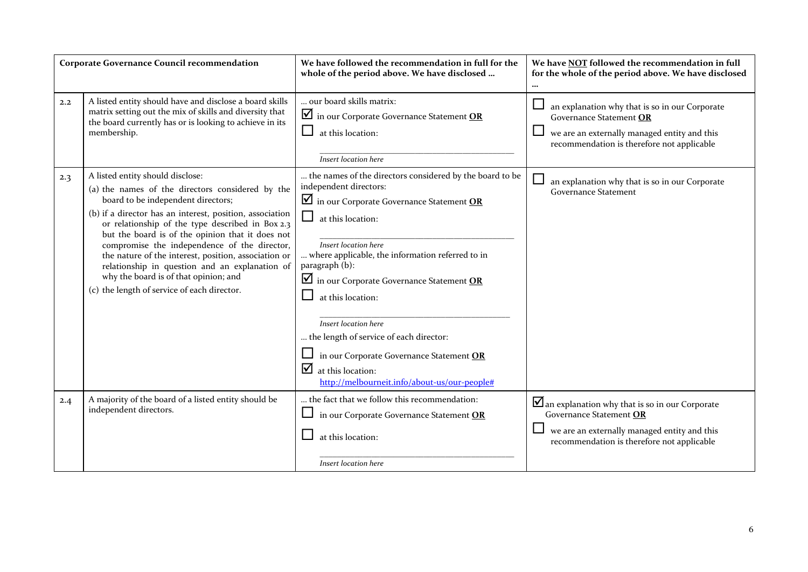|     | <b>Corporate Governance Council recommendation</b>                                                                                                                                                                                                                                                                                                                                                                                                                                                                                               | We have followed the recommendation in full for the<br>whole of the period above. We have disclosed                                                                                                                                                                                                                                                                                                                                                                                                                                                                                   | We have NOT followed the recommendation in full<br>for the whole of the period above. We have disclosed                                                                                |
|-----|--------------------------------------------------------------------------------------------------------------------------------------------------------------------------------------------------------------------------------------------------------------------------------------------------------------------------------------------------------------------------------------------------------------------------------------------------------------------------------------------------------------------------------------------------|---------------------------------------------------------------------------------------------------------------------------------------------------------------------------------------------------------------------------------------------------------------------------------------------------------------------------------------------------------------------------------------------------------------------------------------------------------------------------------------------------------------------------------------------------------------------------------------|----------------------------------------------------------------------------------------------------------------------------------------------------------------------------------------|
| 2.2 | A listed entity should have and disclose a board skills<br>matrix setting out the mix of skills and diversity that<br>the board currently has or is looking to achieve in its<br>membership.                                                                                                                                                                                                                                                                                                                                                     | our board skills matrix:<br>$\blacksquare$ in our Corporate Governance Statement OR<br>at this location:<br>ப<br>Insert location here                                                                                                                                                                                                                                                                                                                                                                                                                                                 | an explanation why that is so in our Corporate<br>Governance Statement OR<br>we are an externally managed entity and this<br>recommendation is therefore not applicable                |
| 2.3 | A listed entity should disclose:<br>(a) the names of the directors considered by the<br>board to be independent directors;<br>(b) if a director has an interest, position, association<br>or relationship of the type described in Box 2.3<br>but the board is of the opinion that it does not<br>compromise the independence of the director,<br>the nature of the interest, position, association or<br>relationship in question and an explanation of<br>why the board is of that opinion; and<br>(c) the length of service of each director. | the names of the directors considered by the board to be<br>independent directors:<br>$\blacksquare$ in our Corporate Governance Statement OR<br>$\mathcal{L}_{\mathcal{A}}$<br>at this location:<br>Insert location here<br>where applicable, the information referred to in<br>paragraph (b):<br>$\blacksquare$ in our Corporate Governance Statement OR<br>at this location:<br>Insert location here<br>the length of service of each director:<br>in our Corporate Governance Statement OR<br>$\mathbf{\nabla}$ at this location:<br>http://melbourneit.info/about-us/our-people# | an explanation why that is so in our Corporate<br><b>Governance Statement</b>                                                                                                          |
| 2.4 | A majority of the board of a listed entity should be<br>independent directors.                                                                                                                                                                                                                                                                                                                                                                                                                                                                   | the fact that we follow this recommendation:<br>in our Corporate Governance Statement OR<br>at this location:<br>Insert location here                                                                                                                                                                                                                                                                                                                                                                                                                                                 | $\blacksquare$ an explanation why that is so in our Corporate<br>Governance Statement OR<br>we are an externally managed entity and this<br>recommendation is therefore not applicable |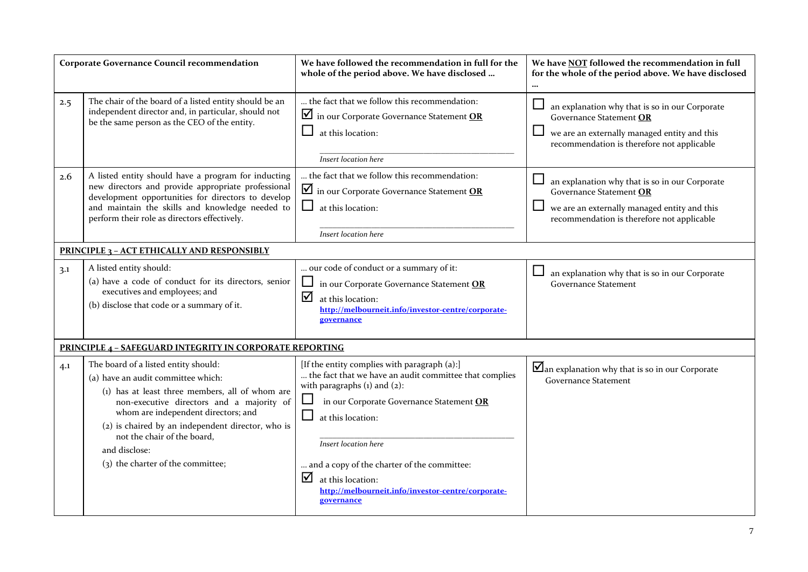|     | <b>Corporate Governance Council recommendation</b>                                                                                                                                                                                                                                                                                                          | We have followed the recommendation in full for the<br>whole of the period above. We have disclosed                                                                                                                                                                                                                                                                                         | We have NOT followed the recommendation in full<br>for the whole of the period above. We have disclosed<br>$\cdots$                                                     |
|-----|-------------------------------------------------------------------------------------------------------------------------------------------------------------------------------------------------------------------------------------------------------------------------------------------------------------------------------------------------------------|---------------------------------------------------------------------------------------------------------------------------------------------------------------------------------------------------------------------------------------------------------------------------------------------------------------------------------------------------------------------------------------------|-------------------------------------------------------------------------------------------------------------------------------------------------------------------------|
| 2.5 | The chair of the board of a listed entity should be an<br>independent director and, in particular, should not<br>be the same person as the CEO of the entity.                                                                                                                                                                                               | the fact that we follow this recommendation:<br>in our Corporate Governance Statement OR<br>at this location:<br>Insert location here                                                                                                                                                                                                                                                       | an explanation why that is so in our Corporate<br>Governance Statement OR<br>we are an externally managed entity and this<br>recommendation is therefore not applicable |
| 2.6 | A listed entity should have a program for inducting<br>new directors and provide appropriate professional<br>development opportunities for directors to develop<br>and maintain the skills and knowledge needed to<br>perform their role as directors effectively.                                                                                          | the fact that we follow this recommendation:<br>in our Corporate Governance Statement OR<br>at this location:<br>ப<br>Insert location here                                                                                                                                                                                                                                                  | an explanation why that is so in our Corporate<br>Governance Statement OR<br>we are an externally managed entity and this<br>recommendation is therefore not applicable |
|     | <b>PRINCIPLE 3 - ACT ETHICALLY AND RESPONSIBLY</b>                                                                                                                                                                                                                                                                                                          |                                                                                                                                                                                                                                                                                                                                                                                             |                                                                                                                                                                         |
| 3.1 | A listed entity should:<br>(a) have a code of conduct for its directors, senior<br>executives and employees; and<br>(b) disclose that code or a summary of it.                                                                                                                                                                                              | our code of conduct or a summary of it:<br>in our Corporate Governance Statement OR<br>☑<br>at this location:<br>http://melbourneit.info/investor-centre/corporate-<br>governance                                                                                                                                                                                                           | an explanation why that is so in our Corporate<br><b>Governance Statement</b>                                                                                           |
|     | <b>PRINCIPLE 4 - SAFEGUARD INTEGRITY IN CORPORATE REPORTING</b>                                                                                                                                                                                                                                                                                             |                                                                                                                                                                                                                                                                                                                                                                                             |                                                                                                                                                                         |
| 4.1 | The board of a listed entity should:<br>(a) have an audit committee which:<br>(1) has at least three members, all of whom are<br>non-executive directors and a majority of<br>whom are independent directors; and<br>(2) is chaired by an independent director, who is<br>not the chair of the board,<br>and disclose:<br>(3) the charter of the committee; | [If the entity complies with paragraph (a):]<br>the fact that we have an audit committee that complies<br>with paragraphs $(i)$ and $(2)$ :<br>in our Corporate Governance Statement OR<br>ப<br>ப<br>at this location:<br>Insert location here<br>and a copy of the charter of the committee:<br>⊻<br>at this location:<br>http://melbourneit.info/investor-centre/corporate-<br>governance | $\blacksquare$ an explanation why that is so in our Corporate<br><b>Governance Statement</b>                                                                            |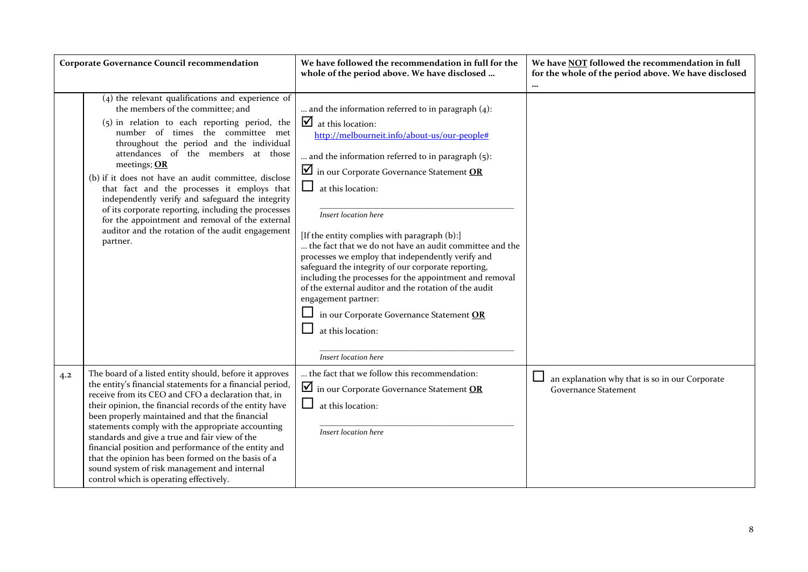|     | <b>Corporate Governance Council recommendation</b>                                                                                                                                                                                                                                                                                                                                                                                                                                                                                                                                                                         | We have followed the recommendation in full for the<br>whole of the period above. We have disclosed                                                                                                                                                                                                                                                                                                                                                                                                                                                                                                                                                                                                                                                                   | We have NOT followed the recommendation in full<br>for the whole of the period above. We have disclosed<br> |
|-----|----------------------------------------------------------------------------------------------------------------------------------------------------------------------------------------------------------------------------------------------------------------------------------------------------------------------------------------------------------------------------------------------------------------------------------------------------------------------------------------------------------------------------------------------------------------------------------------------------------------------------|-----------------------------------------------------------------------------------------------------------------------------------------------------------------------------------------------------------------------------------------------------------------------------------------------------------------------------------------------------------------------------------------------------------------------------------------------------------------------------------------------------------------------------------------------------------------------------------------------------------------------------------------------------------------------------------------------------------------------------------------------------------------------|-------------------------------------------------------------------------------------------------------------|
|     | $(4)$ the relevant qualifications and experience of<br>the members of the committee; and<br>$(5)$ in relation to each reporting period, the<br>number of times the committee met<br>throughout the period and the individual<br>attendances of the members at those<br>meetings; $OR$<br>(b) if it does not have an audit committee, disclose<br>that fact and the processes it employs that<br>independently verify and safeguard the integrity<br>of its corporate reporting, including the processes<br>for the appointment and removal of the external<br>auditor and the rotation of the audit engagement<br>partner. | and the information referred to in paragraph $(4)$ :<br>$\blacksquare$ at this location:<br>http://melbourneit.info/about-us/our-people#<br>and the information referred to in paragraph (5):<br>$\blacksquare$ in our Corporate Governance Statement OR<br>ப<br>at this location:<br>Insert location here<br>[If the entity complies with paragraph (b):]<br>the fact that we do not have an audit committee and the<br>processes we employ that independently verify and<br>safeguard the integrity of our corporate reporting,<br>including the processes for the appointment and removal<br>of the external auditor and the rotation of the audit<br>engagement partner:<br>in our Corporate Governance Statement OR<br>at this location:<br>Insert location here |                                                                                                             |
| 4.2 | The board of a listed entity should, before it approves<br>the entity's financial statements for a financial period,<br>receive from its CEO and CFO a declaration that, in<br>their opinion, the financial records of the entity have<br>been properly maintained and that the financial<br>statements comply with the appropriate accounting<br>standards and give a true and fair view of the<br>financial position and performance of the entity and<br>that the opinion has been formed on the basis of a<br>sound system of risk management and internal<br>control which is operating effectively.                  | the fact that we follow this recommendation:<br>in our Corporate Governance Statement OR<br>at this location:<br>Insert location here                                                                                                                                                                                                                                                                                                                                                                                                                                                                                                                                                                                                                                 | ⊔<br>an explanation why that is so in our Corporate<br><b>Governance Statement</b>                          |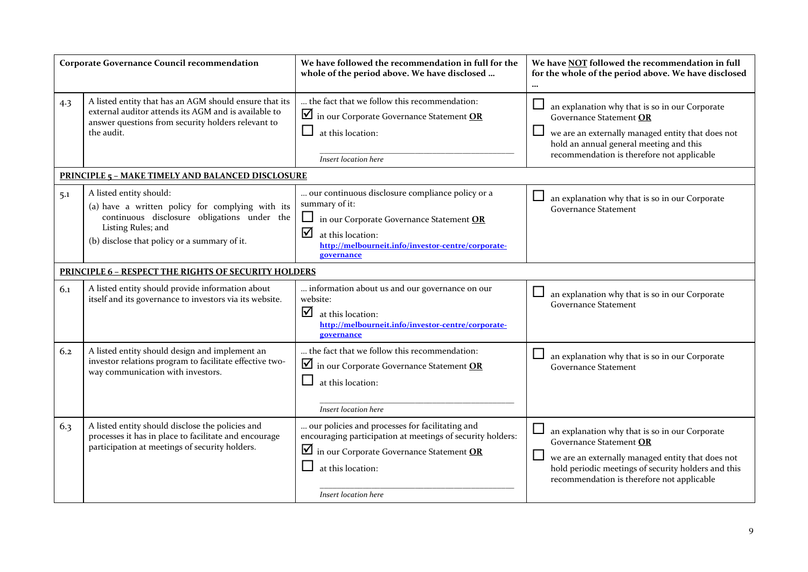|     | <b>Corporate Governance Council recommendation</b>                                                                                                                                               | We have followed the recommendation in full for the<br>whole of the period above. We have disclosed                                                                                                                   | We have NOT followed the recommendation in full<br>for the whole of the period above. We have disclosed<br>                                                                                                                         |
|-----|--------------------------------------------------------------------------------------------------------------------------------------------------------------------------------------------------|-----------------------------------------------------------------------------------------------------------------------------------------------------------------------------------------------------------------------|-------------------------------------------------------------------------------------------------------------------------------------------------------------------------------------------------------------------------------------|
| 4.3 | A listed entity that has an AGM should ensure that its<br>external auditor attends its AGM and is available to<br>answer questions from security holders relevant to<br>the audit.               | the fact that we follow this recommendation:<br>$\blacksquare$ in our Corporate Governance Statement OR<br>at this location:<br>Insert location here                                                                  | an explanation why that is so in our Corporate<br>Governance Statement OR<br>we are an externally managed entity that does not<br>hold an annual general meeting and this<br>recommendation is therefore not applicable             |
|     | <b>PRINCIPLE 5 - MAKE TIMELY AND BALANCED DISCLOSURE</b>                                                                                                                                         |                                                                                                                                                                                                                       |                                                                                                                                                                                                                                     |
| 5.1 | A listed entity should:<br>(a) have a written policy for complying with its<br>continuous disclosure obligations under the<br>Listing Rules; and<br>(b) disclose that policy or a summary of it. | our continuous disclosure compliance policy or a<br>summary of it:<br>in our Corporate Governance Statement OR<br>☑<br>at this location:<br>http://melbourneit.info/investor-centre/corporate-<br>governance          | an explanation why that is so in our Corporate<br><b>Governance Statement</b>                                                                                                                                                       |
|     | <b>PRINCIPLE 6 - RESPECT THE RIGHTS OF SECURITY HOLDERS</b>                                                                                                                                      |                                                                                                                                                                                                                       |                                                                                                                                                                                                                                     |
| 6.1 | A listed entity should provide information about<br>itself and its governance to investors via its website.                                                                                      | information about us and our governance on our<br>website:<br>☑<br>at this location:<br>http://melbourneit.info/investor-centre/corporate-<br>governance                                                              | $\Box$<br>an explanation why that is so in our Corporate<br><b>Governance Statement</b>                                                                                                                                             |
| 6.2 | A listed entity should design and implement an<br>investor relations program to facilitate effective two-<br>way communication with investors.                                                   | the fact that we follow this recommendation:<br>$\blacksquare$ in our Corporate Governance Statement OR<br>at this location:<br>Insert location here                                                                  | an explanation why that is so in our Corporate<br><b>Governance Statement</b>                                                                                                                                                       |
| 6.3 | A listed entity should disclose the policies and<br>processes it has in place to facilitate and encourage<br>participation at meetings of security holders.                                      | our policies and processes for facilitating and<br>encouraging participation at meetings of security holders:<br>$\blacksquare$ in our Corporate Governance Statement OR<br>at this location:<br>Insert location here | an explanation why that is so in our Corporate<br>Governance Statement OR<br>we are an externally managed entity that does not<br>hold periodic meetings of security holders and this<br>recommendation is therefore not applicable |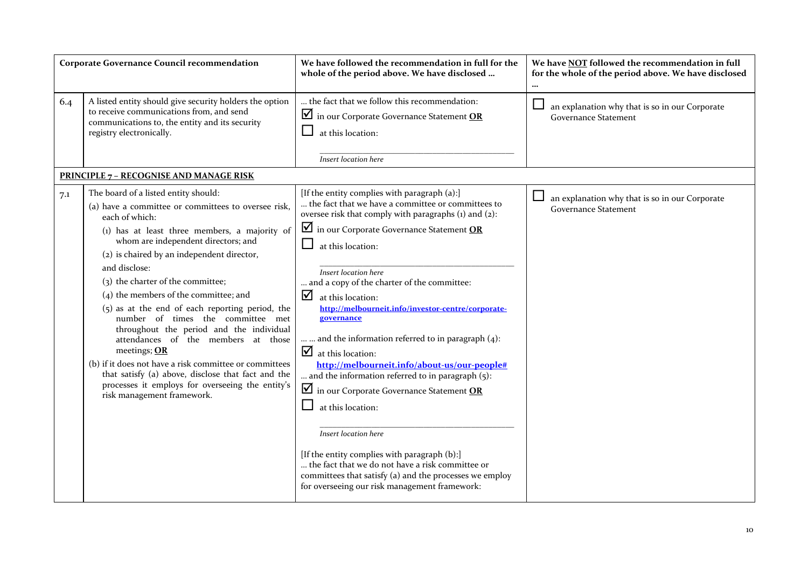|     | <b>Corporate Governance Council recommendation</b>                                                                                                                                                                                                                                                | We have followed the recommendation in full for the<br>whole of the period above. We have disclosed                                                                                                                                                                        | We have NOT followed the recommendation in full<br>for the whole of the period above. We have disclosed<br>$\cdots$ |
|-----|---------------------------------------------------------------------------------------------------------------------------------------------------------------------------------------------------------------------------------------------------------------------------------------------------|----------------------------------------------------------------------------------------------------------------------------------------------------------------------------------------------------------------------------------------------------------------------------|---------------------------------------------------------------------------------------------------------------------|
| 6.4 | A listed entity should give security holders the option<br>to receive communications from, and send<br>communications to, the entity and its security<br>registry electronically.                                                                                                                 | the fact that we follow this recommendation:<br>$\blacksquare$ in our Corporate Governance Statement OR<br>at this location:<br>Insert location here                                                                                                                       | an explanation why that is so in our Corporate<br><b>Governance Statement</b>                                       |
|     | <b>PRINCIPLE 7 - RECOGNISE AND MANAGE RISK</b>                                                                                                                                                                                                                                                    |                                                                                                                                                                                                                                                                            |                                                                                                                     |
| 7.1 | The board of a listed entity should:<br>(a) have a committee or committees to oversee risk,<br>each of which:<br>(1) has at least three members, a majority of                                                                                                                                    | [If the entity complies with paragraph (a):]<br>the fact that we have a committee or committees to<br>oversee risk that comply with paragraphs (1) and (2):<br>in our Corporate Governance Statement OR                                                                    | an explanation why that is so in our Corporate<br><b>Governance Statement</b>                                       |
|     | whom are independent directors; and<br>(2) is chaired by an independent director,<br>and disclose:<br>(3) the charter of the committee;<br>$(4)$ the members of the committee; and<br>$(5)$ as at the end of each reporting period, the<br>number of times the committee met                      | at this location:<br>Insert location here<br>and a copy of the charter of the committee:<br>☑<br>at this location:<br>http://melbourneit.info/investor-centre/corporate-<br>governance                                                                                     |                                                                                                                     |
|     | throughout the period and the individual<br>attendances of the members at those<br>meetings; OR<br>(b) if it does not have a risk committee or committees<br>that satisfy (a) above, disclose that fact and the<br>processes it employs for overseeing the entity's<br>risk management framework. | and the information referred to in paragraph $(4)$ :<br>$\Delta$ at this location:<br>http://melbourneit.info/about-us/our-people#<br>and the information referred to in paragraph $(5)$ :<br>$\blacksquare$ in our Corporate Governance Statement OR<br>at this location: |                                                                                                                     |
|     |                                                                                                                                                                                                                                                                                                   | Insert location here<br>[If the entity complies with paragraph (b):]<br>the fact that we do not have a risk committee or<br>committees that satisfy (a) and the processes we employ<br>for overseeing our risk management framework:                                       |                                                                                                                     |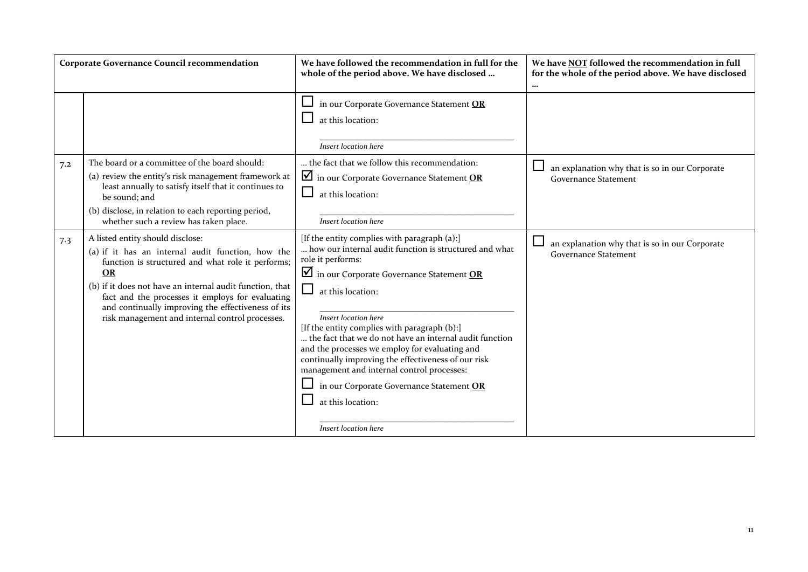|     | <b>Corporate Governance Council recommendation</b>                                                                                                                                                                                                                                                                                                                               | We have followed the recommendation in full for the<br>whole of the period above. We have disclosed                                                                                                                                                                                                                                                                                                                                                                                                                                                                                    | We have NOT followed the recommendation in full<br>for the whole of the period above. We have disclosed<br>$\cdots$ |
|-----|----------------------------------------------------------------------------------------------------------------------------------------------------------------------------------------------------------------------------------------------------------------------------------------------------------------------------------------------------------------------------------|----------------------------------------------------------------------------------------------------------------------------------------------------------------------------------------------------------------------------------------------------------------------------------------------------------------------------------------------------------------------------------------------------------------------------------------------------------------------------------------------------------------------------------------------------------------------------------------|---------------------------------------------------------------------------------------------------------------------|
|     |                                                                                                                                                                                                                                                                                                                                                                                  | in our Corporate Governance Statement OR<br>at this location:<br>Insert location here                                                                                                                                                                                                                                                                                                                                                                                                                                                                                                  |                                                                                                                     |
| 7.2 | The board or a committee of the board should:<br>(a) review the entity's risk management framework at<br>least annually to satisfy itself that it continues to<br>be sound; and<br>(b) disclose, in relation to each reporting period,<br>whether such a review has taken place.                                                                                                 | the fact that we follow this recommendation:<br>$\blacksquare$ in our Corporate Governance Statement OR<br>at this location:<br>Insert location here                                                                                                                                                                                                                                                                                                                                                                                                                                   | an explanation why that is so in our Corporate<br><b>Governance Statement</b>                                       |
| 7.3 | A listed entity should disclose:<br>(a) if it has an internal audit function, how the<br>function is structured and what role it performs;<br><b>OR</b><br>(b) if it does not have an internal audit function, that<br>fact and the processes it employs for evaluating<br>and continually improving the effectiveness of its<br>risk management and internal control processes. | [If the entity complies with paragraph (a):]<br>how our internal audit function is structured and what<br>role it performs:<br>$\Box$ in our Corporate Governance Statement OR<br>at this location:<br>Insert location here<br>[If the entity complies with paragraph (b):]<br>the fact that we do not have an internal audit function<br>and the processes we employ for evaluating and<br>continually improving the effectiveness of our risk<br>management and internal control processes:<br>in our Corporate Governance Statement OR<br>at this location:<br>Insert location here | an explanation why that is so in our Corporate<br><b>Governance Statement</b>                                       |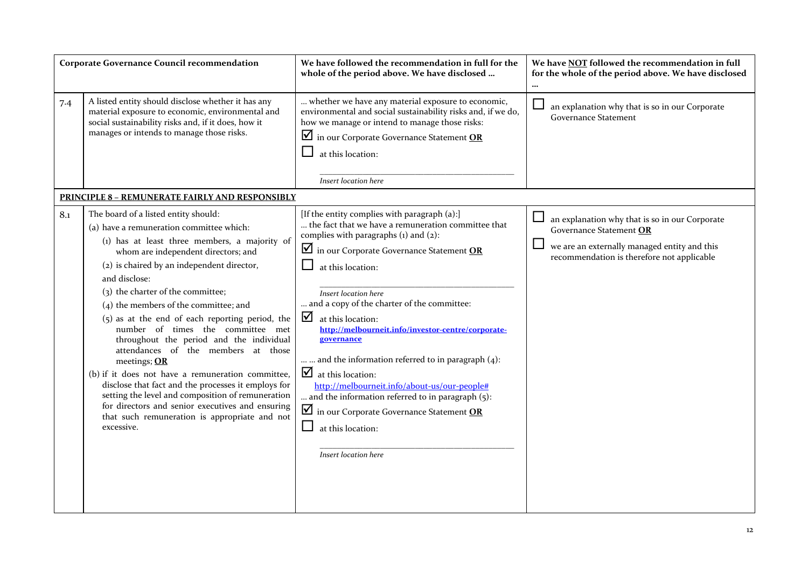| <b>Corporate Governance Council recommendation</b> |                                                                                                                                                                                                                                                                                                                                                                                                                                                                                                                                                                                                                                                                                                                                                                                                          | We have followed the recommendation in full for the<br>whole of the period above. We have disclosed                                                                                                                                                                                                                                                                                                                                                                                                                                                                                                                                                                                                                 | We have <b>NOT</b> followed the recommendation in full<br>for the whole of the period above. We have disclosed<br>$\ddotsc$                                                            |
|----------------------------------------------------|----------------------------------------------------------------------------------------------------------------------------------------------------------------------------------------------------------------------------------------------------------------------------------------------------------------------------------------------------------------------------------------------------------------------------------------------------------------------------------------------------------------------------------------------------------------------------------------------------------------------------------------------------------------------------------------------------------------------------------------------------------------------------------------------------------|---------------------------------------------------------------------------------------------------------------------------------------------------------------------------------------------------------------------------------------------------------------------------------------------------------------------------------------------------------------------------------------------------------------------------------------------------------------------------------------------------------------------------------------------------------------------------------------------------------------------------------------------------------------------------------------------------------------------|----------------------------------------------------------------------------------------------------------------------------------------------------------------------------------------|
| 7.4                                                | A listed entity should disclose whether it has any<br>material exposure to economic, environmental and<br>social sustainability risks and, if it does, how it<br>manages or intends to manage those risks.                                                                                                                                                                                                                                                                                                                                                                                                                                                                                                                                                                                               | whether we have any material exposure to economic,<br>environmental and social sustainability risks and, if we do,<br>how we manage or intend to manage those risks:<br>$\blacksquare$ in our Corporate Governance Statement OR<br>at this location:<br>Insert location here                                                                                                                                                                                                                                                                                                                                                                                                                                        | an explanation why that is so in our Corporate<br><b>Governance Statement</b>                                                                                                          |
|                                                    | <b>PRINCIPLE 8 - REMUNERATE FAIRLY AND RESPONSIBLY</b>                                                                                                                                                                                                                                                                                                                                                                                                                                                                                                                                                                                                                                                                                                                                                   |                                                                                                                                                                                                                                                                                                                                                                                                                                                                                                                                                                                                                                                                                                                     |                                                                                                                                                                                        |
| 8.1                                                | The board of a listed entity should:<br>(a) have a remuneration committee which:<br>(1) has at least three members, a majority of<br>whom are independent directors; and<br>(2) is chaired by an independent director,<br>and disclose:<br>(3) the charter of the committee;<br>$(4)$ the members of the committee; and<br>$(5)$ as at the end of each reporting period, the<br>number of times the committee met<br>throughout the period and the individual<br>attendances of the members at those<br>meetings; OR<br>(b) if it does not have a remuneration committee,<br>disclose that fact and the processes it employs for<br>setting the level and composition of remuneration<br>for directors and senior executives and ensuring<br>that such remuneration is appropriate and not<br>excessive. | [If the entity complies with paragraph (a):]<br>the fact that we have a remuneration committee that<br>complies with paragraphs (1) and (2):<br>$\blacksquare$ in our Corporate Governance Statement OR<br>$\Box$<br>at this location:<br>Insert location here<br>and a copy of the charter of the committee:<br>☑<br>at this location:<br>http://melbourneit.info/investor-centre/corporate-<br>governance<br>and the information referred to in paragraph $(4)$ :<br>$\Delta$ at this location:<br>http://melbourneit.info/about-us/our-people#<br>and the information referred to in paragraph (5):<br>$\blacksquare$ in our Corporate Governance Statement OR<br>⊔<br>at this location:<br>Insert location here | $\Box$<br>an explanation why that is so in our Corporate<br>Governance Statement OR<br>L<br>we are an externally managed entity and this<br>recommendation is therefore not applicable |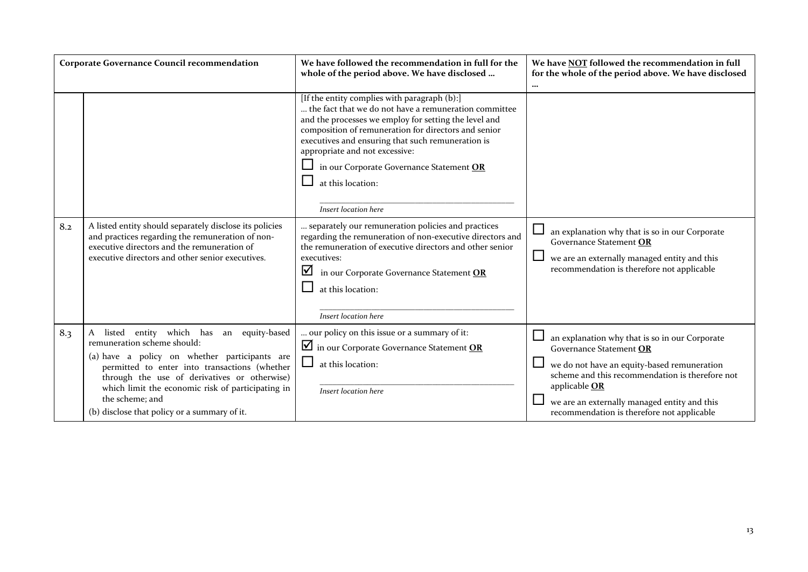| Corporate Governance Council recommendation |                                                                                                                                                                                                                                                                                                                                                       | We have followed the recommendation in full for the<br>whole of the period above. We have disclosed                                                                                                                                                                                                                                                                                                    | We have NOT followed the recommendation in full<br>for the whole of the period above. We have disclosed<br>$\cdots$                                                                                                                                                                        |
|---------------------------------------------|-------------------------------------------------------------------------------------------------------------------------------------------------------------------------------------------------------------------------------------------------------------------------------------------------------------------------------------------------------|--------------------------------------------------------------------------------------------------------------------------------------------------------------------------------------------------------------------------------------------------------------------------------------------------------------------------------------------------------------------------------------------------------|--------------------------------------------------------------------------------------------------------------------------------------------------------------------------------------------------------------------------------------------------------------------------------------------|
|                                             |                                                                                                                                                                                                                                                                                                                                                       | [If the entity complies with paragraph (b):]<br>the fact that we do not have a remuneration committee<br>and the processes we employ for setting the level and<br>composition of remuneration for directors and senior<br>executives and ensuring that such remuneration is<br>appropriate and not excessive:<br>in our Corporate Governance Statement OR<br>at this location:<br>Insert location here |                                                                                                                                                                                                                                                                                            |
| 8.2                                         | A listed entity should separately disclose its policies<br>and practices regarding the remuneration of non-<br>executive directors and the remuneration of<br>executive directors and other senior executives.                                                                                                                                        | separately our remuneration policies and practices<br>regarding the remuneration of non-executive directors and<br>the remuneration of executive directors and other senior<br>executives:<br>☑<br>in our Corporate Governance Statement OR<br>at this location:<br>Insert location here                                                                                                               | $\Box$<br>an explanation why that is so in our Corporate<br>Governance Statement OR<br>$\Box$<br>we are an externally managed entity and this<br>recommendation is therefore not applicable                                                                                                |
| 8.3                                         | listed entity which has an equity-based<br>A<br>remuneration scheme should:<br>(a) have a policy on whether participants are<br>permitted to enter into transactions (whether<br>through the use of derivatives or otherwise)<br>which limit the economic risk of participating in<br>the scheme; and<br>(b) disclose that policy or a summary of it. | our policy on this issue or a summary of it:<br>$\blacksquare$ in our Corporate Governance Statement OR<br>at this location:<br>Insert location here                                                                                                                                                                                                                                                   | an explanation why that is so in our Corporate<br>Governance Statement OR<br>we do not have an equity-based remuneration<br>scheme and this recommendation is therefore not<br>applicable OR<br>we are an externally managed entity and this<br>recommendation is therefore not applicable |